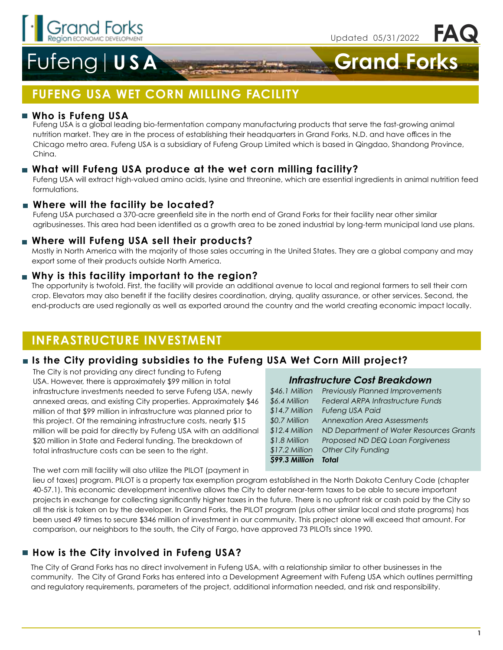

**FAQ**

# Fufeng **USA Grand Forks**

## **FUFENG USA WET CORN MILLING FACILITY**

### **Who is Fufeng USA**

Fufeng USA is a global leading bio-fermentation company manufacturing products that serve the fast-growing animal nutrition market. They are in the process of establishing their headquarters in Grand Forks, N.D. and have offices in the Chicago metro area. Fufeng USA is a subsidiary of Fufeng Group Limited which is based in Qingdao, Shandong Province, China.

### **What will Fufeng USA produce at the wet corn milling facility?**

Fufeng USA will extract high-valued amino acids, lysine and threonine, which are essential ingredients in animal nutrition feed formulations.

### **Where will the facility be located?**

Fufeng USA purchased a 370-acre greenfield site in the north end of Grand Forks for their facility near other similar agribusinesses. This area had been identified as a growth area to be zoned industrial by long-term municipal land use plans.

### **Where will Fufeng USA sell their products?**

Mostly in North America with the majority of those sales occurring in the United States. They are a global company and may export some of their products outside North America.

### **Why is this facility important to the region?**

The opportunity is twofold. First, the facility will provide an additional avenue to local and regional farmers to sell their corn crop. Elevators may also benefit if the facility desires coordination, drying, quality assurance, or other services. Second, the end-products are used regionally as well as exported around the country and the world creating economic impact locally.

### **INFRASTRUCTURE INVESTMENT**

### **Is the City providing subsidies to the Fufeng USA Wet Corn Mill project?**

The City is not providing any direct funding to Fufeng USA. However, there is approximately \$99 million in total infrastructure investments needed to serve Fufeng USA, newly annexed areas, and existing City properties. Approximately \$46 million of that \$99 million in infrastructure was planned prior to this project. Of the remaining infrastructure costs, nearly \$15 million will be paid for directly by Fufeng USA with an additional \$20 million in State and Federal funding. The breakdown of total infrastructure costs can be seen to the right.

#### **Infrastructure Cost Breakdown**

| \$99.3 Million  | <b>Total</b>                            |
|-----------------|-----------------------------------------|
| $$17.2$ Million | Other City Funding                      |
| \$1.8 Million   | Proposed ND DEQ Loan Forgiveness        |
| $$12.4$ Million | ND Department of Water Resources Grants |
| \$0.7 Million   | <b>Annexation Area Assessments</b>      |
| \$14.7 Million  | Fufeng USA Paid                         |
| \$6.4 Million   | Federal ARPA Infrastructure Funds       |
| \$46.1 Million  | <b>Previously Planned Improvements</b>  |
|                 |                                         |

The wet corn mill facility will also utilize the PILOT (payment in

lieu of taxes) program. PILOT is a property tax exemption program established in the North Dakota Century Code (chapter 40-57.1). This economic development incentive allows the City to defer near-term taxes to be able to secure important projects in exchange for collecting significantly higher taxes in the future. There is no upfront risk or cash paid by the City so all the risk is taken on by the developer. In Grand Forks, the PILOT program (plus other similar local and state programs) has been used 49 times to secure \$346 million of investment in our community. This project alone will exceed that amount. For comparison, our neighbors to the south, the City of Fargo, have approved 73 PILOTs since 1990.

### **How is the City involved in Fufeng USA?**

The City of Grand Forks has no direct involvement in Fufeng USA, with a relationship similar to other businesses in the community. The City of Grand Forks has entered into a Development Agreement with Fufeng USA which outlines permitting and regulatory requirements, parameters of the project, additional information needed, and risk and responsibility.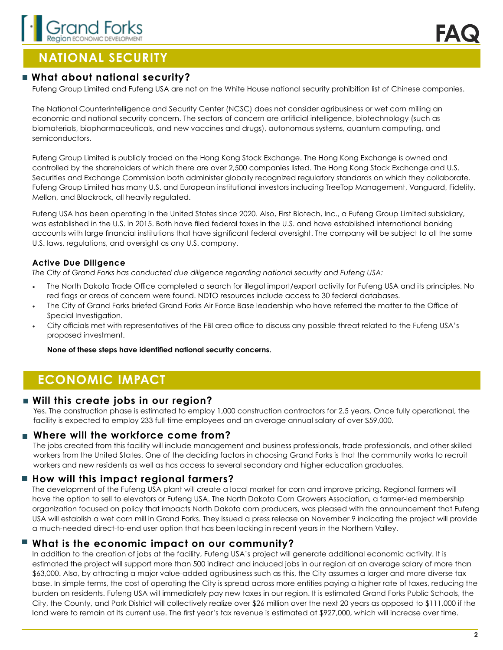

### **NATIONAL SECURITY**

### **What about national security?**

Fufeng Group Limited and Fufeng USA are not on the White House national security prohibition list of Chinese companies.

The National Counterintelligence and Security Center (NCSC) does not consider agribusiness or wet corn milling an economic and national security concern. The sectors of concern are artificial intelligence, biotechnology (such as biomaterials, biopharmaceuticals, and new vaccines and drugs), autonomous systems, quantum computing, and semiconductors.

Fufeng Group Limited is publicly traded on the Hong Kong Stock Exchange. The Hong Kong Exchange is owned and controlled by the shareholders of which there are over 2,500 companies listed. The Hong Kong Stock Exchange and U.S. Securities and Exchange Commission both administer globally recognized regulatory standards on which they collaborate. Fufeng Group Limited has many U.S. and European institutional investors including TreeTop Management, Vanguard, Fidelity, Mellon, and Blackrock, all heavily regulated.

Fufeng USA has been operating in the United States since 2020. Also, First Biotech, Inc., a Fufeng Group Limited subsidiary, was established in the U.S. in 2015. Both have filed federal taxes in the U.S. and have established international banking accounts with large financial institutions that have significant federal oversight. The company will be subject to all the same U.S. laws, regulations, and oversight as any U.S. company.

#### **Active Due Diligence**

*The City of Grand Forks has conducted due diligence regarding national security and Fufeng USA:*

- The North Dakota Trade Office completed a search for illegal import/export activity for Fufeng USA and its principles. No red flags or areas of concern were found. NDTO resources include access to 30 federal databases.
- The City of Grand Forks briefed Grand Forks Air Force Base leadership who have referred the matter to the Office of Special Investigation.
- City officials met with representatives of the FBI area office to discuss any possible threat related to the Fufeng USA's proposed investment.

**None of these steps have identified national security concerns.**

### **ECONOMIC IMPACT**

### **Will this create jobs in our region?**

Yes. The construction phase is estimated to employ 1,000 construction contractors for 2.5 years. Once fully operational, the facility is expected to employ 233 full-time employees and an average annual salary of over \$59,000.

#### **Where will the workforce come from?**

The jobs created from this facility will include management and business professionals, trade professionals, and other skilled workers from the United States. One of the deciding factors in choosing Grand Forks is that the community works to recruit workers and new residents as well as has access to several secondary and higher education graduates.

### ■ How will this impact regional farmers?

The development of the Fufeng USA plant will create a local market for corn and improve pricing. Regional farmers will have the option to sell to elevators or Fufeng USA. The North Dakota Corn Growers Association, a farmer-led membership organization focused on policy that impacts North Dakota corn producers, was pleased with the announcement that Fufeng USA will establish a wet corn mill in Grand Forks. They issued a press release on November 9 indicating the project will provide a much-needed direct-to-end user option that has been lacking in recent years in the Northern Valley.

#### **What is the economic impact on our community?**

In addition to the creation of jobs at the facility, Fufeng USA's project will generate additional economic activity. It is estimated the project will support more than 500 indirect and induced jobs in our region at an average salary of more than \$63,000. Also, by attracting a major value-added agribusiness such as this, the City assumes a larger and more diverse tax base. In simple terms, the cost of operating the City is spread across more entities paying a higher rate of taxes, reducing the burden on residents. Fufeng USA will immediately pay new taxes in our region. It is estimated Grand Forks Public Schools, the City, the County, and Park District will collectively realize over \$26 million over the next 20 years as opposed to \$111,000 if the land were to remain at its current use. The first year's tax revenue is estimated at \$927,000, which will increase over time.